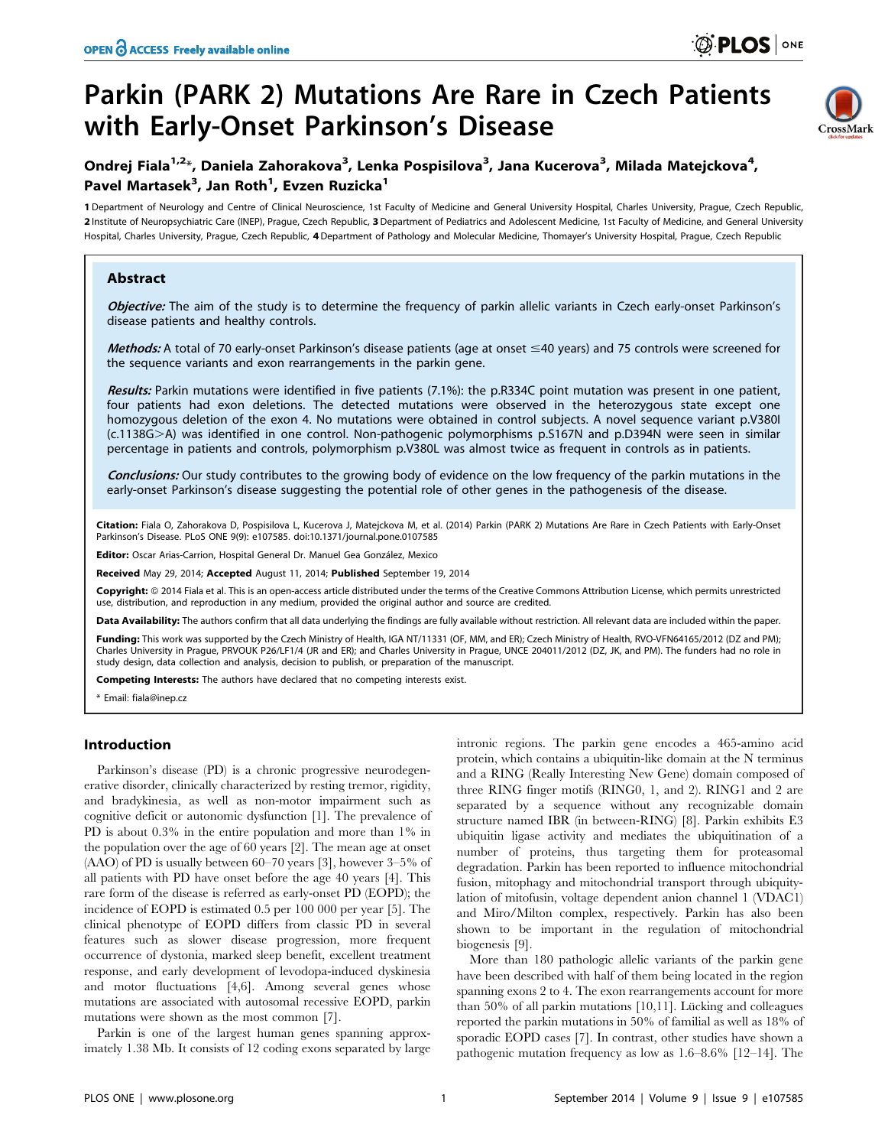# Parkin (PARK 2) Mutations Are Rare in Czech Patients with Early-Onset Parkinson's Disease



# Ondrej Fiala<sup>1,2</sup>\*, Daniela Zahorakova<sup>3</sup>, Lenka Pospisilova<sup>3</sup>, Jana Kucerova<sup>3</sup>, Milada Matejckova<sup>4</sup>, Pavel Martasek<sup>3</sup>, Jan Roth<sup>1</sup>, Evzen Ruzicka<sup>1</sup>

1 Department of Neurology and Centre of Clinical Neuroscience, 1st Faculty of Medicine and General University Hospital, Charles University, Prague, Czech Republic, 2 Institute of Neuropsychiatric Care (INEP), Prague, Czech Republic, 3 Department of Pediatrics and Adolescent Medicine, 1st Faculty of Medicine, and General University Hospital, Charles University, Prague, Czech Republic, 4Department of Pathology and Molecular Medicine, Thomayer's University Hospital, Prague, Czech Republic

# Abstract

Objective: The aim of the study is to determine the frequency of parkin allelic variants in Czech early-onset Parkinson's disease patients and healthy controls.

Methods: A total of 70 early-onset Parkinson's disease patients (age at onset  $\leq$ 40 years) and 75 controls were screened for the sequence variants and exon rearrangements in the parkin gene.

Results: Parkin mutations were identified in five patients (7.1%): the p.R334C point mutation was present in one patient, four patients had exon deletions. The detected mutations were observed in the heterozygous state except one homozygous deletion of the exon 4. No mutations were obtained in control subjects. A novel sequence variant p.V380I (c.1138G>A) was identified in one control. Non-pathogenic polymorphisms p.S167N and p.D394N were seen in similar percentage in patients and controls, polymorphism p.V380L was almost twice as frequent in controls as in patients.

Conclusions: Our study contributes to the growing body of evidence on the low frequency of the parkin mutations in the early-onset Parkinson's disease suggesting the potential role of other genes in the pathogenesis of the disease.

Citation: Fiala O, Zahorakova D, Pospisilova L, Kucerova J, Matejckova M, et al. (2014) Parkin (PARK 2) Mutations Are Rare in Czech Patients with Early-Onset Parkinson's Disease. PLoS ONE 9(9): e107585. doi:10.1371/journal.pone.0107585

Editor: Oscar Arias-Carrion, Hospital General Dr. Manuel Gea González, Mexico

Received May 29, 2014; Accepted August 11, 2014; Published September 19, 2014

Copyright: © 2014 Fiala et al. This is an open-access article distributed under the terms of the [Creative Commons Attribution License](http://creativecommons.org/licenses/by/4.0/), which permits unrestricted use, distribution, and reproduction in any medium, provided the original author and source are credited.

Data Availability: The authors confirm that all data underlying the findings are fully available without restriction. All relevant data are included within the paper.

Funding: This work was supported by the Czech Ministry of Health, IGA NT/11331 (OF, MM, and ER); Czech Ministry of Health, RVO-VFN64165/2012 (DZ and PM); Charles University in Prague, PRVOUK P26/LF1/4 (JR and ER); and Charles University in Prague, UNCE 204011/2012 (DZ, JK, and PM). The funders had no role in study design, data collection and analysis, decision to publish, or preparation of the manuscript.

Competing Interests: The authors have declared that no competing interests exist.

\* Email: fiala@inep.cz

## Introduction

Parkinson's disease (PD) is a chronic progressive neurodegenerative disorder, clinically characterized by resting tremor, rigidity, and bradykinesia, as well as non-motor impairment such as cognitive deficit or autonomic dysfunction [1]. The prevalence of PD is about  $0.3\%$  in the entire population and more than  $1\%$  in the population over the age of 60 years [2]. The mean age at onset (AAO) of PD is usually between 60–70 years [3], however 3–5% of all patients with PD have onset before the age 40 years [4]. This rare form of the disease is referred as early-onset PD (EOPD); the incidence of EOPD is estimated 0.5 per 100 000 per year [5]. The clinical phenotype of EOPD differs from classic PD in several features such as slower disease progression, more frequent occurrence of dystonia, marked sleep benefit, excellent treatment response, and early development of levodopa-induced dyskinesia and motor fluctuations [4,6]. Among several genes whose mutations are associated with autosomal recessive EOPD, parkin mutations were shown as the most common [7].

Parkin is one of the largest human genes spanning approximately 1.38 Mb. It consists of 12 coding exons separated by large intronic regions. The parkin gene encodes a 465-amino acid protein, which contains a ubiquitin-like domain at the N terminus and a RING (Really Interesting New Gene) domain composed of three RING finger motifs (RING0, 1, and 2). RING1 and 2 are separated by a sequence without any recognizable domain structure named IBR (in between-RING) [8]. Parkin exhibits E3 ubiquitin ligase activity and mediates the ubiquitination of a number of proteins, thus targeting them for proteasomal degradation. Parkin has been reported to influence mitochondrial fusion, mitophagy and mitochondrial transport through ubiquitylation of mitofusin, voltage dependent anion channel 1 (VDAC1) and Miro/Milton complex, respectively. Parkin has also been shown to be important in the regulation of mitochondrial biogenesis [9].

More than 180 pathologic allelic variants of the parkin gene have been described with half of them being located in the region spanning exons 2 to 4. The exon rearrangements account for more than 50% of all parkin mutations  $[10,11]$ . Lücking and colleagues reported the parkin mutations in 50% of familial as well as 18% of sporadic EOPD cases [7]. In contrast, other studies have shown a pathogenic mutation frequency as low as 1.6–8.6% [12–14]. The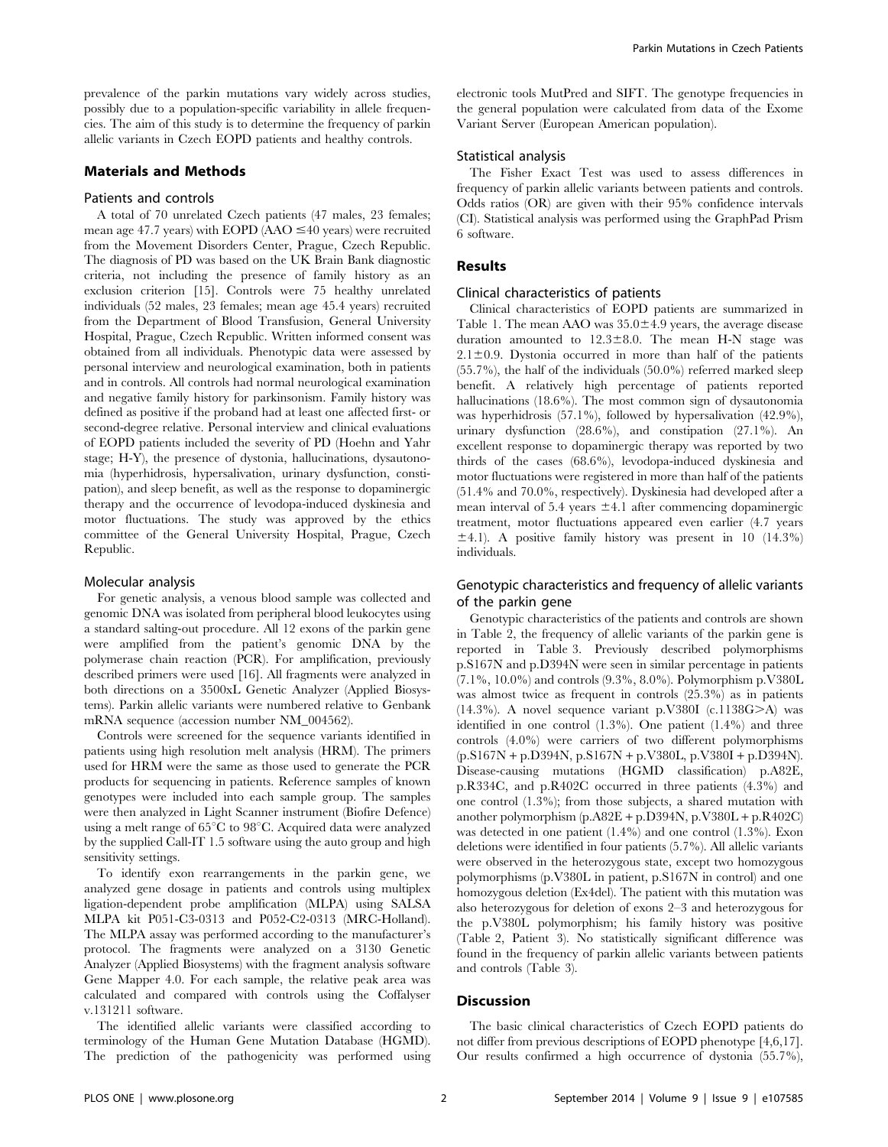prevalence of the parkin mutations vary widely across studies, possibly due to a population-specific variability in allele frequencies. The aim of this study is to determine the frequency of parkin allelic variants in Czech EOPD patients and healthy controls.

#### Materials and Methods

#### Patients and controls

A total of 70 unrelated Czech patients (47 males, 23 females; mean age 47.7 years) with EOPD (AAO  $\leq$ 40 years) were recruited from the Movement Disorders Center, Prague, Czech Republic. The diagnosis of PD was based on the UK Brain Bank diagnostic criteria, not including the presence of family history as an exclusion criterion [15]. Controls were 75 healthy unrelated individuals (52 males, 23 females; mean age 45.4 years) recruited from the Department of Blood Transfusion, General University Hospital, Prague, Czech Republic. Written informed consent was obtained from all individuals. Phenotypic data were assessed by personal interview and neurological examination, both in patients and in controls. All controls had normal neurological examination and negative family history for parkinsonism. Family history was defined as positive if the proband had at least one affected first- or second-degree relative. Personal interview and clinical evaluations of EOPD patients included the severity of PD (Hoehn and Yahr stage; H-Y), the presence of dystonia, hallucinations, dysautonomia (hyperhidrosis, hypersalivation, urinary dysfunction, constipation), and sleep benefit, as well as the response to dopaminergic therapy and the occurrence of levodopa-induced dyskinesia and motor fluctuations. The study was approved by the ethics committee of the General University Hospital, Prague, Czech Republic.

#### Molecular analysis

For genetic analysis, a venous blood sample was collected and genomic DNA was isolated from peripheral blood leukocytes using a standard salting-out procedure. All 12 exons of the parkin gene were amplified from the patient's genomic DNA by the polymerase chain reaction (PCR). For amplification, previously described primers were used [16]. All fragments were analyzed in both directions on a 3500xL Genetic Analyzer (Applied Biosystems). Parkin allelic variants were numbered relative to Genbank mRNA sequence (accession number NM\_004562).

Controls were screened for the sequence variants identified in patients using high resolution melt analysis (HRM). The primers used for HRM were the same as those used to generate the PCR products for sequencing in patients. Reference samples of known genotypes were included into each sample group. The samples were then analyzed in Light Scanner instrument (Biofire Defence) using a melt range of  $65^{\circ}$ C to  $98^{\circ}$ C. Acquired data were analyzed by the supplied Call-IT 1.5 software using the auto group and high sensitivity settings.

To identify exon rearrangements in the parkin gene, we analyzed gene dosage in patients and controls using multiplex ligation-dependent probe amplification (MLPA) using SALSA MLPA kit P051-C3-0313 and P052-C2-0313 (MRC-Holland). The MLPA assay was performed according to the manufacturer's protocol. The fragments were analyzed on a 3130 Genetic Analyzer (Applied Biosystems) with the fragment analysis software Gene Mapper 4.0. For each sample, the relative peak area was calculated and compared with controls using the Coffalyser v.131211 software.

The identified allelic variants were classified according to terminology of the Human Gene Mutation Database (HGMD). The prediction of the pathogenicity was performed using electronic tools MutPred and SIFT. The genotype frequencies in the general population were calculated from data of the Exome Variant Server (European American population).

#### Statistical analysis

The Fisher Exact Test was used to assess differences in frequency of parkin allelic variants between patients and controls. Odds ratios (OR) are given with their 95% confidence intervals (CI). Statistical analysis was performed using the GraphPad Prism 6 software.

#### Results

#### Clinical characteristics of patients

Clinical characteristics of EOPD patients are summarized in Table 1. The mean AAO was  $35.0 \pm 4.9$  years, the average disease duration amounted to  $12.3 \pm 8.0$ . The mean H-N stage was  $2.1 \pm 0.9$ . Dystonia occurred in more than half of the patients (55.7%), the half of the individuals (50.0%) referred marked sleep benefit. A relatively high percentage of patients reported hallucinations (18.6%). The most common sign of dysautonomia was hyperhidrosis (57.1%), followed by hypersalivation (42.9%), urinary dysfunction (28.6%), and constipation (27.1%). An excellent response to dopaminergic therapy was reported by two thirds of the cases (68.6%), levodopa-induced dyskinesia and motor fluctuations were registered in more than half of the patients (51.4% and 70.0%, respectively). Dyskinesia had developed after a mean interval of 5.4 years  $\pm 4.1$  after commencing dopaminergic treatment, motor fluctuations appeared even earlier (4.7 years  $\pm$ 4.1). A positive family history was present in 10 (14.3%) individuals.

## Genotypic characteristics and frequency of allelic variants of the parkin gene

Genotypic characteristics of the patients and controls are shown in Table 2, the frequency of allelic variants of the parkin gene is reported in Table 3. Previously described polymorphisms p.S167N and p.D394N were seen in similar percentage in patients (7.1%, 10.0%) and controls (9.3%, 8.0%). Polymorphism p.V380L was almost twice as frequent in controls (25.3%) as in patients (14.3%). A novel sequence variant p.V380I (c.1138G $>$ A) was identified in one control (1.3%). One patient (1.4%) and three controls (4.0%) were carriers of two different polymorphisms (p.S167N + p.D394N, p.S167N + p.V380L, p.V380I + p.D394N). Disease-causing mutations (HGMD classification) p.A82E, p.R334C, and p.R402C occurred in three patients (4.3%) and one control (1.3%); from those subjects, a shared mutation with another polymorphism (p.A82E + p.D394N, p.V380L + p.R402C) was detected in one patient (1.4%) and one control (1.3%). Exon deletions were identified in four patients (5.7%). All allelic variants were observed in the heterozygous state, except two homozygous polymorphisms (p.V380L in patient, p.S167N in control) and one homozygous deletion (Ex4del). The patient with this mutation was also heterozygous for deletion of exons 2–3 and heterozygous for the p.V380L polymorphism; his family history was positive (Table 2, Patient 3). No statistically significant difference was found in the frequency of parkin allelic variants between patients and controls (Table 3).

#### **Discussion**

The basic clinical characteristics of Czech EOPD patients do not differ from previous descriptions of EOPD phenotype [4,6,17]. Our results confirmed a high occurrence of dystonia (55.7%),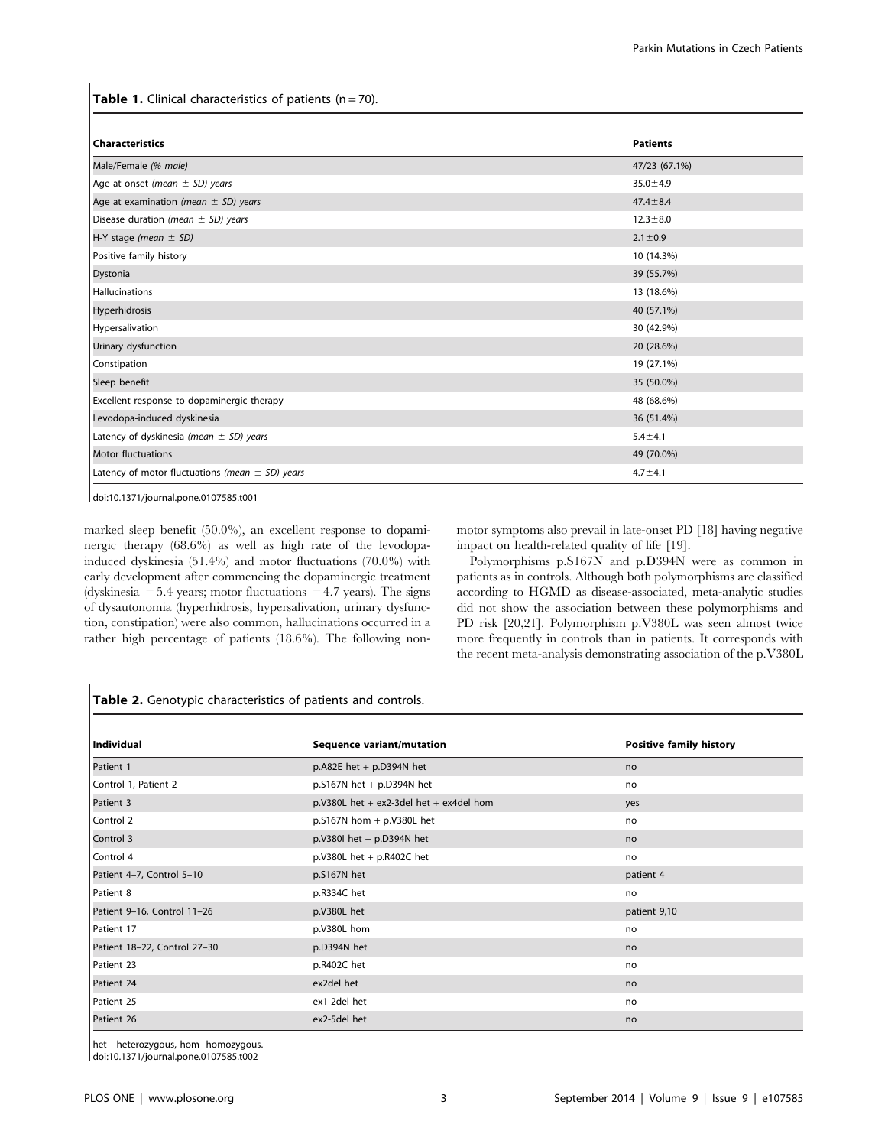**Table 1.** Clinical characteristics of patients  $(n = 70)$ .

| <b>Characteristics</b>                              | <b>Patients</b> |
|-----------------------------------------------------|-----------------|
| Male/Female (% male)                                | 47/23 (67.1%)   |
| Age at onset (mean $\pm$ SD) years                  | $35.0 \pm 4.9$  |
| Age at examination (mean $\pm$ SD) years            | $47.4 \pm 8.4$  |
| Disease duration (mean $\pm$ SD) years              | $12.3 \pm 8.0$  |
| H-Y stage (mean $\pm$ SD)                           | $2.1 \pm 0.9$   |
| Positive family history                             | 10 (14.3%)      |
| Dystonia                                            | 39 (55.7%)      |
| Hallucinations                                      | 13 (18.6%)      |
| Hyperhidrosis                                       | 40 (57.1%)      |
| Hypersalivation                                     | 30 (42.9%)      |
| Urinary dysfunction                                 | 20 (28.6%)      |
| Constipation                                        | 19 (27.1%)      |
| Sleep benefit                                       | 35 (50.0%)      |
| Excellent response to dopaminergic therapy          | 48 (68.6%)      |
| Levodopa-induced dyskinesia                         | 36 (51.4%)      |
| Latency of dyskinesia (mean $\pm$ SD) years         | $5.4 \pm 4.1$   |
| <b>Motor fluctuations</b>                           | 49 (70.0%)      |
| Latency of motor fluctuations (mean $\pm$ SD) years | $4.7 \pm 4.1$   |

doi:10.1371/journal.pone.0107585.t001

marked sleep benefit (50.0%), an excellent response to dopaminergic therapy (68.6%) as well as high rate of the levodopainduced dyskinesia (51.4%) and motor fluctuations (70.0%) with early development after commencing the dopaminergic treatment (dyskinesia  $= 5.4$  years; motor fluctuations  $= 4.7$  years). The signs of dysautonomia (hyperhidrosis, hypersalivation, urinary dysfunction, constipation) were also common, hallucinations occurred in a rather high percentage of patients (18.6%). The following nonmotor symptoms also prevail in late-onset PD [18] having negative impact on health-related quality of life [19].

Polymorphisms p.S167N and p.D394N were as common in patients as in controls. Although both polymorphisms are classified according to HGMD as disease-associated, meta-analytic studies did not show the association between these polymorphisms and PD risk [20,21]. Polymorphism p.V380L was seen almost twice more frequently in controls than in patients. It corresponds with the recent meta-analysis demonstrating association of the p.V380L

# Table 2. Genotypic characteristics of patients and controls.

| Individual                   | <b>Sequence variant/mutation</b>          | <b>Positive family history</b> |
|------------------------------|-------------------------------------------|--------------------------------|
| Patient 1                    | p.A82E het $+$ p.D394N het                | no                             |
| Control 1, Patient 2         | $p.S167N$ het + $p.D394N$ het             | no                             |
| Patient 3                    | $p.V380L$ het + ex2-3del het + ex4del hom | yes                            |
| Control 2                    | $p.S167N$ hom + $p.V380L$ het             | no                             |
| Control 3                    | $p.V380l$ het + $p.D394N$ het             | no                             |
| Control 4                    | p.V380L het + p.R402C het                 | no                             |
| Patient 4-7, Control 5-10    | p.S167N het                               | patient 4                      |
| Patient 8                    | p.R334C het                               | no                             |
| Patient 9-16, Control 11-26  | p.V380L het                               | patient 9,10                   |
| Patient 17                   | p.V380L hom                               | no                             |
| Patient 18-22, Control 27-30 | p.D394N het                               | no                             |
| Patient 23                   | p.R402C het                               | no                             |
| Patient 24                   | ex2del het                                | no                             |
| Patient 25                   | ex1-2del het                              | no                             |
| Patient 26                   | ex2-5del het                              | no                             |

het - heterozygous, hom- homozygous.

doi:10.1371/journal.pone.0107585.t002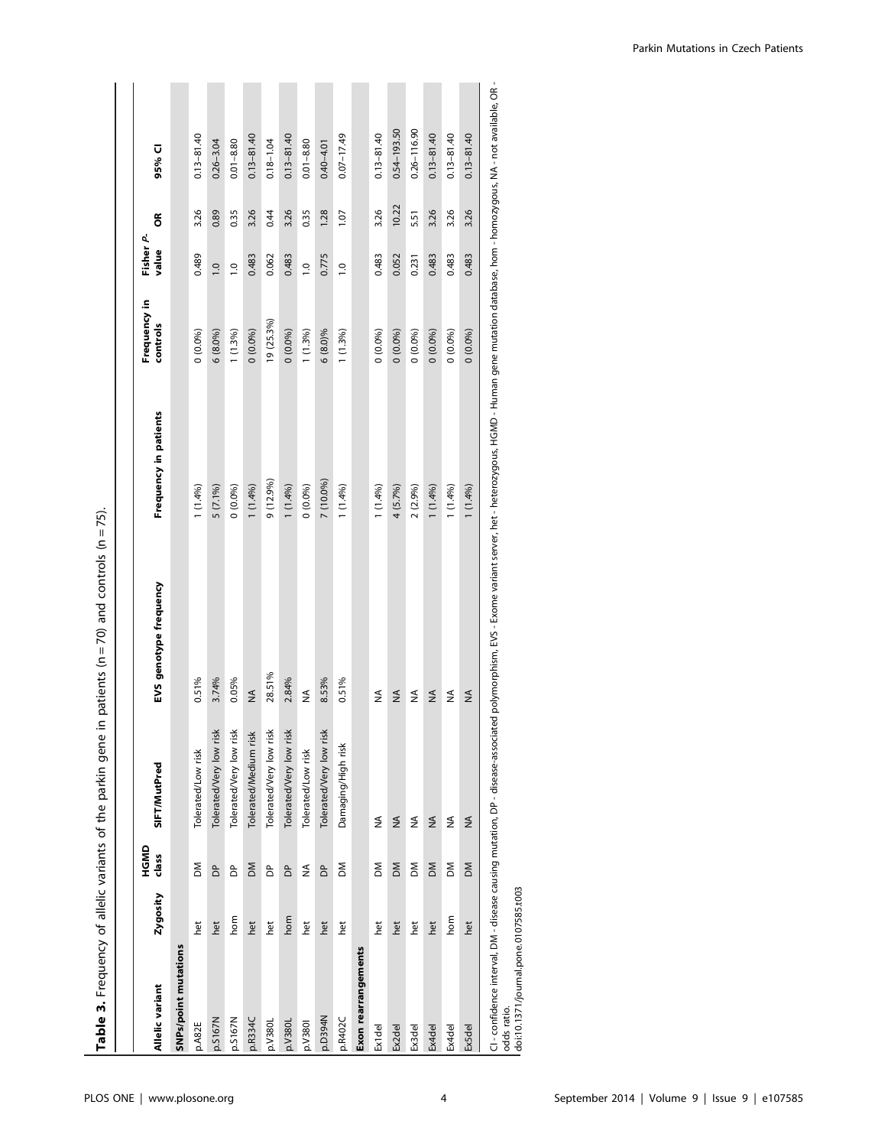| atients ( $n = 70$ ) and controls ( $n = 75$ ).                                   |
|-----------------------------------------------------------------------------------|
|                                                                                   |
|                                                                                   |
|                                                                                   |
|                                                                                   |
|                                                                                   |
|                                                                                   |
| the canony state of the cast of the cast of the first                             |
|                                                                                   |
| $\frac{1}{2}$                                                                     |
|                                                                                   |
|                                                                                   |
|                                                                                   |
|                                                                                   |
| ֖ׅׅׅ֧֧ׅ֧ׅ֧֧ׅ֧֧֧֧֧֧֚֚֚֚֚֚֚֚֚֚֚֚֚֚֚֚֡֕֝֓֡֡֡֬֝֬֓֡֬֓֡֬֓֡֬֓֓֬֓֡֬֓֝֬֓֝֬֝֬֝֬֝֬֝֬֝֬֝֬֝֬֝֬ |
|                                                                                   |
| )<br>!<br>!                                                                       |
|                                                                                   |
| Ī                                                                                 |
| <b>SALID DE STATE</b>                                                             |
|                                                                                   |
|                                                                                   |
|                                                                                   |

|                      |          | HGMD           |                         |                        |                       | Frequency in | Fisher P-      |       |                 |
|----------------------|----------|----------------|-------------------------|------------------------|-----------------------|--------------|----------------|-------|-----------------|
| Allelic variant      | Zygosity | class          | SIFT/MutPred            | EVS genotype frequency | Frequency in patients | controls     | value          | g     | 95% CI          |
| SNPs/point mutations |          |                |                         |                        |                       |              |                |       |                 |
| p.A82E               | het      | ΣÑ             | Tolerated/Low risk      | 0.51%                  | 1(1.4%)               | 0(0.0%)      | 0.489          | 3.26  | $0.13 - 81.40$  |
| p.5167N              | het      | $\overline{a}$ | Tolerated/Very low risk | 3.74%                  | 5 (7.1%)              | $6(8.0\%)$   | $\overline{0}$ | 0.89  | $0.26 - 3.04$   |
| p.5167N              | hom      | δ              | Tolerated/Very low risk | 0.05%                  | $0(0.0\%)$            | $1(1.3\%)$   | $\overline{0}$ | 0.35  | $0.01 - 8.80$   |
| p.R334C              | het      | MQ             | Tolerated/Medium risk   | $\leq$                 | $1(1.4\%)$            | 0(0.0%)      | 0.483          | 3.26  | $0.13 - 81.40$  |
| p.V <sub>380L</sub>  | het      | δ              | Tolerated/Very low risk | 28.51%                 | 9 (12.9%)             | 19 (25.3%)   | 0.062          | 0.44  | $0.18 - 1.04$   |
| p.V380L              | hom      | δ              | Tolerated/Very low risk | 2.84%                  | 1(1.4%)               | 0(0.0%)      | 0.483          | 3.26  | $0.13 - 81.40$  |
| p.V380               | het      | ≸              | Tolerated/Low risk      | ≸                      | $0(0.0\%)$            | $1(1.3\%)$   | $\overline{0}$ | 0.35  | $0.01 - 8.80$   |
| Nb6EC <sub>d</sub>   | het      | $\overline{a}$ | Tolerated/Very low risk | 8.53%                  | 7 (10.0%)             | $6(8.0)\%$   | 0.775          | 1.28  | $0.40 - 4.01$   |
| p.R402C              | het      | ΣÑ             | Damaging/High risk      | 0.51%                  | 1(1.4%)               | 1(1.3%)      | $\overline{0}$ | 1.07  | $0.07 - 17.49$  |
| Exon rearrangements  |          |                |                         |                        |                       |              |                |       |                 |
| Ex1del               | het      | ΣÑ             | ≸                       | ≨                      | $1(1.4\%)$            | $0(0.0\%)$   | 0.483          | 3.26  | $0.13 - 81.40$  |
| Ex2del               | het      | $\geq$         | ≸                       | $\frac{1}{2}$          | 4 (5.7%)              | $0(0.0\%)$   | 0.052          | 10.22 | $0.54 - 193.50$ |
| Ex3del               | het      | ΣÑ             | ≸                       | ≨                      | 2(2.9%)               | 0(0.0%)      | 0.231          | 5.51  | $0.26 - 116.90$ |
| Ex4del               | het      | MQ             | $\frac{4}{2}$           | $\frac{4}{2}$          | 1(1.4%)               | $0(0.0\%)$   | 0.483          | 3.26  | $0.13 - 81.40$  |
| Ex4del               | hom      | ΣÑ             | ≸                       | ≸                      | $1(1.4\%)$            | $0(0.0\%)$   | 0.483          | 3.26  | $0.13 - 81.40$  |
| <b>Ex5del</b>        | het      | МO             | $\leq$                  | ≸                      | 1(1.4%)               | 0(0.0%)      | 0.483          | 3.26  | $0.13 - 81.40$  |

doi:10.1371/journal.pone.0107585.t003 doi:10.1371/journal.pone.0107585.t003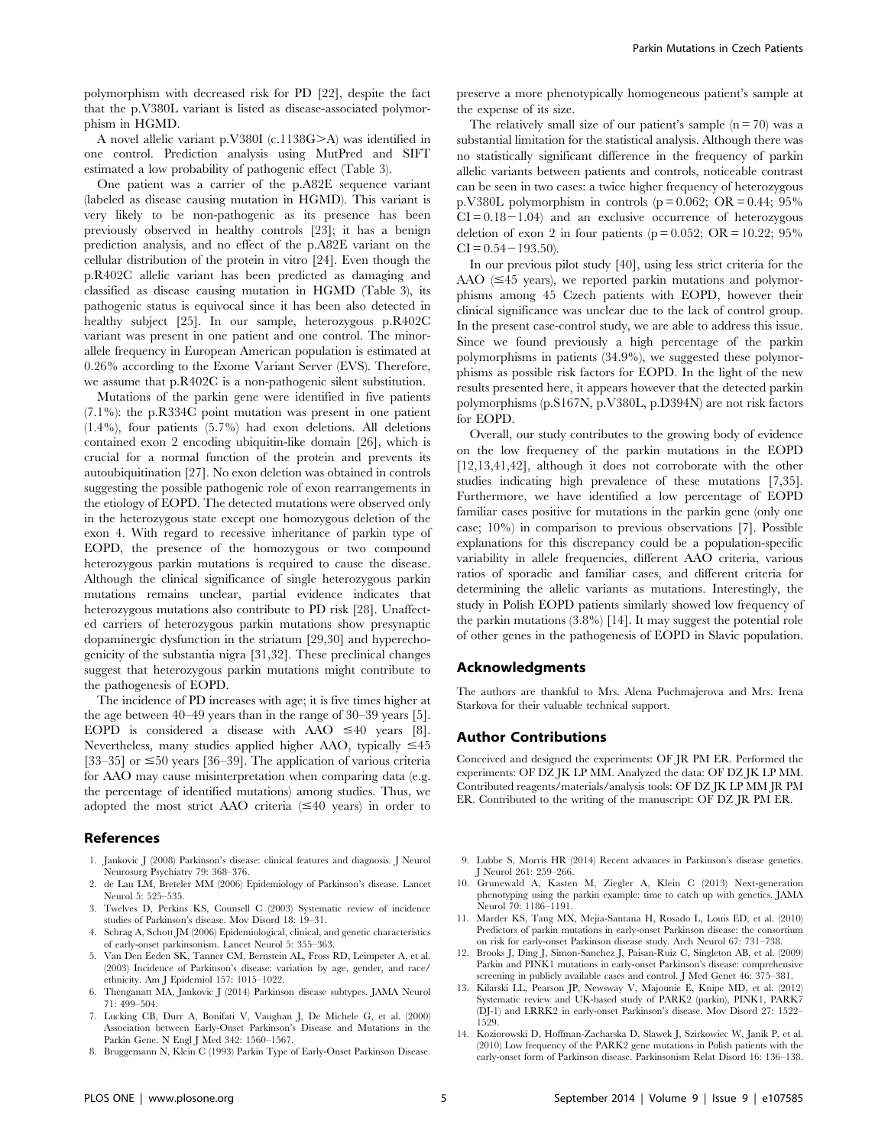polymorphism with decreased risk for PD [22], despite the fact that the p.V380L variant is listed as disease-associated polymorphism in HGMD.

A novel allelic variant p.V380I (c.1138G>A) was identified in one control. Prediction analysis using MutPred and SIFT estimated a low probability of pathogenic effect (Table 3).

One patient was a carrier of the p.A82E sequence variant (labeled as disease causing mutation in HGMD). This variant is very likely to be non-pathogenic as its presence has been previously observed in healthy controls [23]; it has a benign prediction analysis, and no effect of the p.A82E variant on the cellular distribution of the protein in vitro [24]. Even though the p.R402C allelic variant has been predicted as damaging and classified as disease causing mutation in HGMD (Table 3), its pathogenic status is equivocal since it has been also detected in healthy subject [25]. In our sample, heterozygous p.R402C variant was present in one patient and one control. The minorallele frequency in European American population is estimated at 0.26% according to the Exome Variant Server (EVS). Therefore, we assume that p.R402C is a non-pathogenic silent substitution.

Mutations of the parkin gene were identified in five patients (7.1%): the p.R334C point mutation was present in one patient (1.4%), four patients (5.7%) had exon deletions. All deletions contained exon 2 encoding ubiquitin-like domain [26], which is crucial for a normal function of the protein and prevents its autoubiquitination [27]. No exon deletion was obtained in controls suggesting the possible pathogenic role of exon rearrangements in the etiology of EOPD. The detected mutations were observed only in the heterozygous state except one homozygous deletion of the exon 4. With regard to recessive inheritance of parkin type of EOPD, the presence of the homozygous or two compound heterozygous parkin mutations is required to cause the disease. Although the clinical significance of single heterozygous parkin mutations remains unclear, partial evidence indicates that heterozygous mutations also contribute to PD risk [28]. Unaffected carriers of heterozygous parkin mutations show presynaptic dopaminergic dysfunction in the striatum [29,30] and hyperechogenicity of the substantia nigra [31,32]. These preclinical changes suggest that heterozygous parkin mutations might contribute to the pathogenesis of EOPD.

The incidence of PD increases with age; it is five times higher at the age between 40–49 years than in the range of 30–39 years [5]. EOPD is considered a disease with AAO  $\leq 40$  years [8]. Nevertheless, many studies applied higher AAO, typically  $\leq 45$ [33–35] or  $\leq$ 50 years [36–39]. The application of various criteria for AAO may cause misinterpretation when comparing data (e.g. the percentage of identified mutations) among studies. Thus, we adopted the most strict AAO criteria  $(\leq 40 \text{ years})$  in order to

#### References

- 1. Jankovic J (2008) Parkinson's disease: clinical features and diagnosis. J Neurol Neurosurg Psychiatry 79: 368–376.
- 2. de Lau LM, Breteler MM (2006) Epidemiology of Parkinson's disease. Lancet Neurol 5: 525–535.
- 3. Twelves D, Perkins KS, Counsell C (2003) Systematic review of incidence studies of Parkinson's disease. Mov Disord 18: 19–31.
- 4. Schrag A, Schott JM (2006) Epidemiological, clinical, and genetic characteristics of early-onset parkinsonism. Lancet Neurol 5: 355–363.
- 5. Van Den Eeden SK, Tanner CM, Bernstein AL, Fross RD, Leimpeter A, et al. (2003) Incidence of Parkinson's disease: variation by age, gender, and race/ ethnicity. Am J Epidemiol 157: 1015–1022.
- 6. Thenganatt MA, Jankovic J (2014) Parkinson disease subtypes. JAMA Neurol 71: 499–504.
- 7. Lucking CB, Durr A, Bonifati V, Vaughan J, De Michele G, et al. (2000) Association between Early-Onset Parkinson's Disease and Mutations in the Parkin Gene. N Engl J Med 342: 1560–1567.
- 8. Bruggemann N, Klein C (1993) Parkin Type of Early-Onset Parkinson Disease.

preserve a more phenotypically homogeneous patient's sample at the expense of its size.

The relatively small size of our patient's sample  $(n = 70)$  was a substantial limitation for the statistical analysis. Although there was no statistically significant difference in the frequency of parkin allelic variants between patients and controls, noticeable contrast can be seen in two cases: a twice higher frequency of heterozygous p.V380L polymorphism in controls ( $p = 0.062$ ; OR  $= 0.44$ ; 95%  $CI = 0.18 - 1.04$  and an exclusive occurrence of heterozygous deletion of exon 2 in four patients ( $p = 0.052$ ; OR = 10.22; 95%  $CI = 0.54 - 193.50$ .

In our previous pilot study [40], using less strict criteria for the AAO  $(\leq 45$  years), we reported parkin mutations and polymorphisms among 45 Czech patients with EOPD, however their clinical significance was unclear due to the lack of control group. In the present case-control study, we are able to address this issue. Since we found previously a high percentage of the parkin polymorphisms in patients (34.9%), we suggested these polymorphisms as possible risk factors for EOPD. In the light of the new results presented here, it appears however that the detected parkin polymorphisms (p.S167N, p.V380L, p.D394N) are not risk factors for EOPD.

Overall, our study contributes to the growing body of evidence on the low frequency of the parkin mutations in the EOPD [12,13,41,42], although it does not corroborate with the other studies indicating high prevalence of these mutations [7,35]. Furthermore, we have identified a low percentage of EOPD familiar cases positive for mutations in the parkin gene (only one case; 10%) in comparison to previous observations [7]. Possible explanations for this discrepancy could be a population-specific variability in allele frequencies, different AAO criteria, various ratios of sporadic and familiar cases, and different criteria for determining the allelic variants as mutations. Interestingly, the study in Polish EOPD patients similarly showed low frequency of the parkin mutations (3.8%) [14]. It may suggest the potential role of other genes in the pathogenesis of EOPD in Slavic population.

#### Acknowledgments

The authors are thankful to Mrs. Alena Puchmajerova and Mrs. Irena Starkova for their valuable technical support.

#### Author Contributions

Conceived and designed the experiments: OF JR PM ER. Performed the experiments: OF DZ JK LP MM. Analyzed the data: OF DZ JK LP MM. Contributed reagents/materials/analysis tools: OF DZ JK LP MM JR PM ER. Contributed to the writing of the manuscript: OF DZ JR PM ER.

- 9. Lubbe S, Morris HR (2014) Recent advances in Parkinson's disease genetics. J Neurol 261: 259–266.
- 10. Grunewald A, Kasten M, Ziegler A, Klein C (2013) Next-generation phenotyping using the parkin example: time to catch up with genetics. JAMA Neurol 70: 1186–1191.
- 11. Marder KS, Tang MX, Mejia-Santana H, Rosado L, Louis ED, et al. (2010) Predictors of parkin mutations in early-onset Parkinson disease: the consortium on risk for early-onset Parkinson disease study. Arch Neurol 67: 731–738.
- 12. Brooks J, Ding J, Simon-Sanchez J, Paisan-Ruiz C, Singleton AB, et al. (2009) Parkin and PINK1 mutations in early-onset Parkinson's disease: comprehensive screening in publicly available cases and control. J Med Genet 46: 375–381.
- 13. Kilarski LL, Pearson JP, Newsway V, Majounie E, Knipe MD, et al. (2012) Systematic review and UK-based study of PARK2 (parkin), PINK1, PARK7 (DJ-1) and LRRK2 in early-onset Parkinson's disease. Mov Disord 27: 1522– 1529.
- 14. Koziorowski D, Hoffman-Zacharska D, Slawek J, Szirkowiec W, Janik P, et al. (2010) Low frequency of the PARK2 gene mutations in Polish patients with the early-onset form of Parkinson disease. Parkinsonism Relat Disord 16: 136–138.